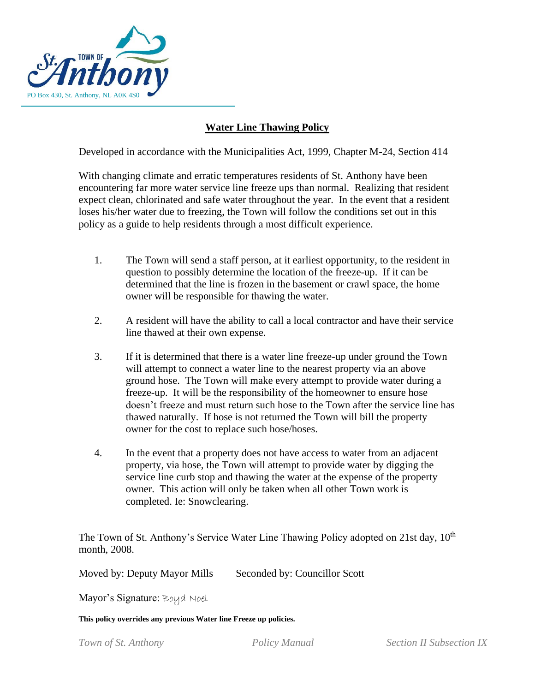

## **Water Line Thawing Policy**

Developed in accordance with the Municipalities Act, 1999, Chapter M-24, Section 414

With changing climate and erratic temperatures residents of St. Anthony have been encountering far more water service line freeze ups than normal. Realizing that resident expect clean, chlorinated and safe water throughout the year. In the event that a resident loses his/her water due to freezing, the Town will follow the conditions set out in this policy as a guide to help residents through a most difficult experience.

- 1. The Town will send a staff person, at it earliest opportunity, to the resident in question to possibly determine the location of the freeze-up. If it can be determined that the line is frozen in the basement or crawl space, the home owner will be responsible for thawing the water.
- 2. A resident will have the ability to call a local contractor and have their service line thawed at their own expense.
- 3. If it is determined that there is a water line freeze-up under ground the Town will attempt to connect a water line to the nearest property via an above ground hose. The Town will make every attempt to provide water during a freeze-up. It will be the responsibility of the homeowner to ensure hose doesn't freeze and must return such hose to the Town after the service line has thawed naturally. If hose is not returned the Town will bill the property owner for the cost to replace such hose/hoses.
- 4. In the event that a property does not have access to water from an adjacent property, via hose, the Town will attempt to provide water by digging the service line curb stop and thawing the water at the expense of the property owner. This action will only be taken when all other Town work is completed. Ie: Snowclearing.

The Town of St. Anthony's Service Water Line Thawing Policy adopted on 21st day,  $10<sup>th</sup>$ month, 2008.

Moved by: Deputy Mayor Mills Seconded by: Councillor Scott

Mayor's Signature: Boud Noel

**This policy overrides any previous Water line Freeze up policies.**